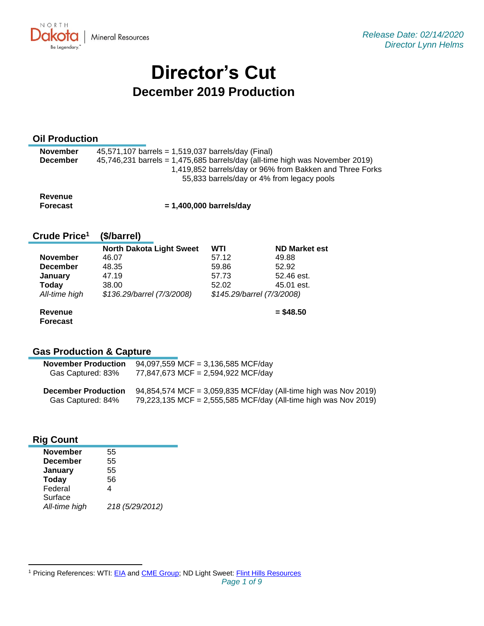

# **Director's Cut December 2019 Production**

# **Oil Production**

| <b>November</b> | 45,571,107 barrels = 1,519,037 barrels/day (Final)                             |
|-----------------|--------------------------------------------------------------------------------|
| <b>December</b> | $45,746,231$ barrels = 1,475,685 barrels/day (all-time high was November 2019) |
|                 | 1,419,852 barrels/day or 96% from Bakken and Three Forks                       |
|                 | 55,833 barrels/day or 4% from legacy pools                                     |
|                 |                                                                                |

| Revenue  |                           |
|----------|---------------------------|
| Forecast | $= 1,400,000$ barrels/day |

#### **Crude Price 1 (\$/barrel)**

|                 | <b>North Dakota Light Sweet</b> | WTI   | <b>ND Market est</b>       |
|-----------------|---------------------------------|-------|----------------------------|
| <b>November</b> | 46.07                           | 57.12 | 49.88                      |
| <b>December</b> | 48.35                           | 59.86 | 52.92                      |
| January         | 47.19                           | 57.73 | 52.46 est.                 |
| Today           | 38.00                           | 52.02 | 45.01 est.                 |
| All-time high   | \$136.29/barrel (7/3/2008)      |       | \$145.29/barrel (7/3/2008) |
| Revenue         |                                 |       | $=$ \$48.50                |

**Revenue Forecast**

# **Gas Production & Capture**

| <b>November Production</b> | 94,097,559 MCF = 3,136,585 MCF/day                              |  |  |
|----------------------------|-----------------------------------------------------------------|--|--|
| Gas Captured: 83%          | 77,847,673 MCF = 2,594,922 MCF/day                              |  |  |
| <b>December Production</b> | 94,854,574 MCF = 3,059,835 MCF/day (All-time high was Nov 2019) |  |  |

|                   | <b>December Production</b> $94,004,074$ MCP = 0,009,000 MCP/day (All-time high was NOV 2019) |
|-------------------|----------------------------------------------------------------------------------------------|
| Gas Captured: 84% | 79,223,135 MCF = 2,555,585 MCF/day (All-time high was Nov 2019)                              |

# **Rig Count**

| <b>November</b> | 55              |
|-----------------|-----------------|
| <b>December</b> | 55              |
| January         | 55              |
| <b>Today</b>    | 56              |
| Federal         | 4               |
| Surface         |                 |
| All-time high   | 218 (5/29/2012) |
|                 |                 |

<sup>&</sup>lt;sup>1</sup> Pricing References: WTI: [EIA](https://www.eia.gov/dnav/pet/hist/LeafHandler.ashx?n=PET&s=RCLC1&f=M) and [CME Group;](https://www.cmegroup.com/trading/energy/crude-oil/light-sweet-crude.html) ND Light Sweet: [Flint Hills Resources](https://www.fhr.com/products-services/fuels-and-aromatics)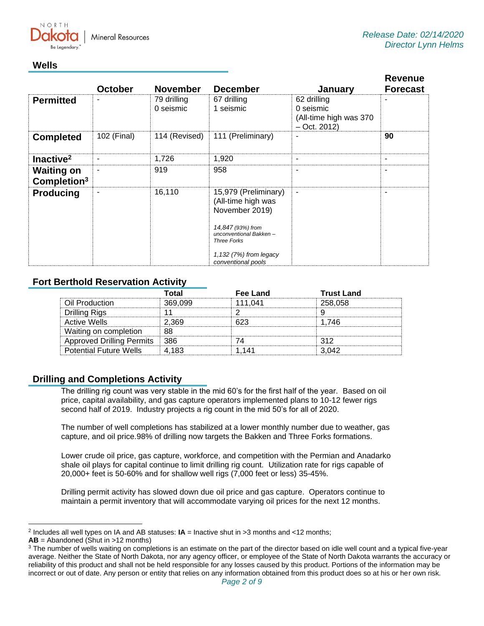

# **Wells**

|                                              | <b>October</b> | <b>November</b>          | <b>December</b>                                                                                                                                                                   | January                                                               | <b>Revenue</b><br><b>Forecast</b> |
|----------------------------------------------|----------------|--------------------------|-----------------------------------------------------------------------------------------------------------------------------------------------------------------------------------|-----------------------------------------------------------------------|-----------------------------------|
| <b>Permitted</b>                             |                | 79 drilling<br>0 seismic | 67 drilling<br>1 seismic                                                                                                                                                          | 62 drilling<br>0 seismic<br>(All-time high was 370)<br>$-$ Oct. 2012) |                                   |
| <b>Completed</b>                             | 102 (Final)    | 114 (Revised)            | 111 (Preliminary)                                                                                                                                                                 |                                                                       | 90                                |
| Inactive <sup>2</sup>                        | ۰              | 1,726                    | 1,920                                                                                                                                                                             | ٠                                                                     | $\overline{\phantom{a}}$          |
| <b>Waiting on</b><br>Completion <sup>3</sup> |                | 919                      | 958                                                                                                                                                                               | ۰                                                                     |                                   |
| <b>Producing</b>                             | ٠              | 16,110                   | 15,979 (Preliminary)<br>(All-time high was<br>November 2019)<br>14,847 (93%) from<br>unconventional Bakken-<br><b>Three Forks</b><br>1,132 (7%) from legacy<br>conventional pools | ٠                                                                     |                                   |

# **Fort Berthold Reservation Activity**

|                                  | Total   | <b>Fee Land</b> | <b>Trust Land</b> |
|----------------------------------|---------|-----------------|-------------------|
| Oil Production                   | 369.099 | 111.041         | 258,058           |
| Drilling Rigs                    |         |                 |                   |
| <b>Active Wells</b>              | 2.369   | 623             | 1.746             |
| Waiting on completion            | 88      |                 |                   |
| <b>Approved Drilling Permits</b> | ⊟ 386   |                 | 312               |
| <b>Potential Future Wells</b>    | 4.183   |                 | 3.042             |

# **Drilling and Completions Activity**

The drilling rig count was very stable in the mid 60's for the first half of the year. Based on oil price, capital availability, and gas capture operators implemented plans to 10-12 fewer rigs second half of 2019. Industry projects a rig count in the mid 50's for all of 2020.

The number of well completions has stabilized at a lower monthly number due to weather, gas capture, and oil price.98% of drilling now targets the Bakken and Three Forks formations.

Lower crude oil price, gas capture, workforce, and competition with the Permian and Anadarko shale oil plays for capital continue to limit drilling rig count. Utilization rate for rigs capable of 20,000+ feet is 50-60% and for shallow well rigs (7,000 feet or less) 35-45%.

Drilling permit activity has slowed down due oil price and gas capture. Operators continue to maintain a permit inventory that will accommodate varying oil prices for the next 12 months.

<sup>2</sup> Includes all well types on IA and AB statuses: **IA** = Inactive shut in >3 months and <12 months;

**AB** = Abandoned (Shut in >12 months)

<sup>&</sup>lt;sup>3</sup> The number of wells waiting on completions is an estimate on the part of the director based on idle well count and a typical five-year average. Neither the State of North Dakota, nor any agency officer, or employee of the State of North Dakota warrants the accuracy or reliability of this product and shall not be held responsible for any losses caused by this product. Portions of the information may be incorrect or out of date. Any person or entity that relies on any information obtained from this product does so at his or her own risk.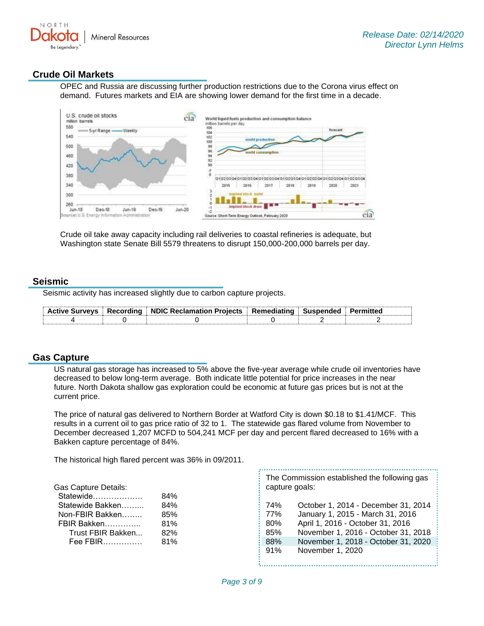

# **Crude Oil Markets**

OPEC and Russia are discussing further production restrictions due to the Corona virus effect on demand. Futures markets and EIA are showing lower demand for the first time in a decade.



Crude oil take away capacity including rail deliveries to coastal refineries is adequate, but Washington state Senate Bill 5579 threatens to disrupt 150,000-200,000 barrels per day.

#### **Seismic**

Seismic activity has increased slightly due to carbon capture projects.

|  | Active Surveys   Recording   NDIC Reclamation Projects   Remediating   Suspended   Permitted |  |  |
|--|----------------------------------------------------------------------------------------------|--|--|
|  |                                                                                              |  |  |

#### **Gas Capture**

US natural gas storage has increased to 5% above the five-year average while crude oil inventories have decreased to below long-term average. Both indicate little potential for price increases in the near future. North Dakota shallow gas exploration could be economic at future gas prices but is not at the current price.

The price of natural gas delivered to Northern Border at Watford City is down \$0.18 to \$1.41/MCF. This results in a current oil to gas price ratio of 32 to 1. The statewide gas flared volume from November to December decreased 1,207 MCFD to 504,241 MCF per day and percent flared decreased to 16% with a Bakken capture percentage of 84%.

The historical high flared percent was 36% in 09/2011.

Gas Capture Details:

| Statewide         | 84% |
|-------------------|-----|
| Statewide Bakken  | 84% |
| Non-FBIR Bakken   | 85% |
| FBIR Bakken       | 81% |
| Trust FBIR Bakken | 82% |
| Fee FBIR          | 81% |
|                   |     |

The Commission established the following gas capture goals:

74% October 1, 2014 - December 31, 2014 77% January 1, 2015 - March 31, 2016 80% April 1, 2016 - October 31, 2016 85% November 1, 2016 - October 31, 2018 88% November 1, 2018 - October 31, 2020 91% November 1, 2020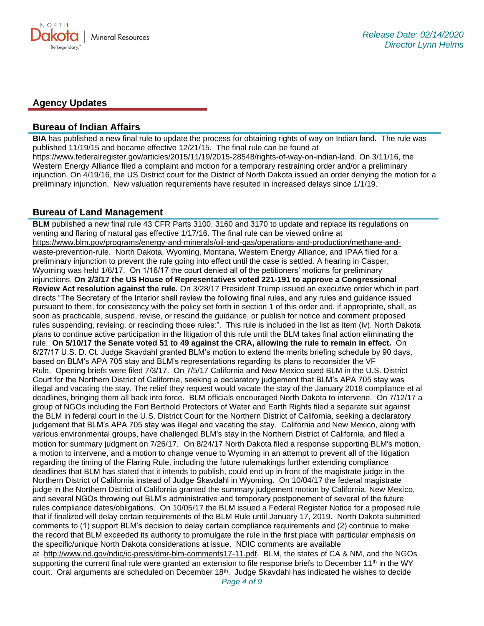

#### **Agency Updates**

#### **Bureau of Indian Affairs**

**BIA** has published a new final rule to update the process for obtaining rights of way on Indian land. The rule was published 11/19/15 and became effective 12/21/15. The final rule can be found at [https://www.federalregister.gov/articles/2015/11/19/2015-28548/rights-of-way-on-indian-land.](https://www.federalregister.gov/articles/2015/11/19/2015-28548/rights-of-way-on-indian-land) On 3/11/16, the Western Energy Alliance filed a complaint and motion for a temporary restraining order and/or a preliminary injunction. On 4/19/16, the US District court for the District of North Dakota issued an order denying the motion for a preliminary injunction. New valuation requirements have resulted in increased delays since 1/1/19.

### **Bureau of Land Management**

**BLM** published a new final rule 43 CFR Parts 3100, 3160 and 3170 to update and replace its regulations on venting and flaring of natural gas effective 1/17/16. The final rule can be viewed online at [https://www.blm.gov/programs/energy-and-minerals/oil-and-gas/operations-and-production/methane-and](https://www.blm.gov/programs/energy-and-minerals/oil-and-gas/operations-and-production/methane-and-waste-prevention-rule)[waste-prevention-rule](https://www.blm.gov/programs/energy-and-minerals/oil-and-gas/operations-and-production/methane-and-waste-prevention-rule). North Dakota, Wyoming, Montana, Western Energy Alliance, and IPAA filed for a preliminary injunction to prevent the rule going into effect until the case is settled. A hearing in Casper, Wyoming was held 1/6/17. On 1/16/17 the court denied all of the petitioners' motions for preliminary injunctions. **On 2/3/17 the US House of Representatives voted 221-191 to approve a Congressional Review Act resolution against the rule.** On 3/28/17 President Trump issued an executive order which in part directs "The Secretary of the Interior shall review the following final rules, and any rules and guidance issued pursuant to them, for consistency with the policy set forth in section 1 of this order and, if appropriate, shall, as soon as practicable, suspend, revise, or rescind the guidance, or publish for notice and comment proposed rules suspending, revising, or rescinding those rules:". This rule is included in the list as item (iv). North Dakota plans to continue active participation in the litigation of this rule until the BLM takes final action eliminating the rule. **On 5/10/17 the Senate voted 51 to 49 against the CRA, allowing the rule to remain in effect.** On 6/27/17 U.S. D. Ct. Judge Skavdahl granted BLM's motion to extend the merits briefing schedule by 90 days, based on BLM's APA 705 stay and BLM's representations regarding its plans to reconsider the VF Rule. Opening briefs were filed 7/3/17. On 7/5/17 California and New Mexico sued BLM in the U.S. District Court for the Northern District of California, seeking a declaratory judgement that BLM's APA 705 stay was illegal and vacating the stay. The relief they request would vacate the stay of the January 2018 compliance et al deadlines, bringing them all back into force. BLM officials encouraged North Dakota to intervene. On 7/12/17 a group of NGOs including the Fort Berthold Protectors of Water and Earth Rights filed a separate suit against the BLM in federal court in the U.S. District Court for the Northern District of California, seeking a declaratory judgement that BLM's APA 705 stay was illegal and vacating the stay. California and New Mexico, along with various environmental groups, have challenged BLM's stay in the Northern District of California, and filed a motion for summary judgment on 7/26/17. On 8/24/17 North Dakota filed a response supporting BLM's motion, a motion to intervene, and a motion to change venue to Wyoming in an attempt to prevent all of the litigation regarding the timing of the Flaring Rule, including the future rulemakings further extending compliance deadlines that BLM has stated that it intends to publish, could end up in front of the magistrate judge in the Northern District of California instead of Judge Skavdahl in Wyoming. On 10/04/17 the federal magistrate judge in the Northern District of California granted the summary judgement motion by California, New Mexico, and several NGOs throwing out BLM's administrative and temporary postponement of several of the future rules compliance dates/obligations. On 10/05/17 the BLM issued a Federal Register Notice for a proposed rule that if finalized will delay certain requirements of the BLM Rule until January 17, 2019. North Dakota submitted comments to (1) support BLM's decision to delay certain compliance requirements and (2) continue to make the record that BLM exceeded its authority to promulgate the rule in the first place with particular emphasis on the specific/unique North Dakota considerations at issue. NDIC comments are available

at [http://www.nd.gov/ndic/ic-press/dmr-blm-comments17-11.pdf.](http://www.nd.gov/ndic/ic-press/dmr-blm-comments17-11.pdf) BLM, the states of CA & NM, and the NGOs supporting the current final rule were granted an extension to file response briefs to December 11<sup>th</sup> in the WY court. Oral arguments are scheduled on December 18<sup>th</sup>. Judge Skavdahl has indicated he wishes to decide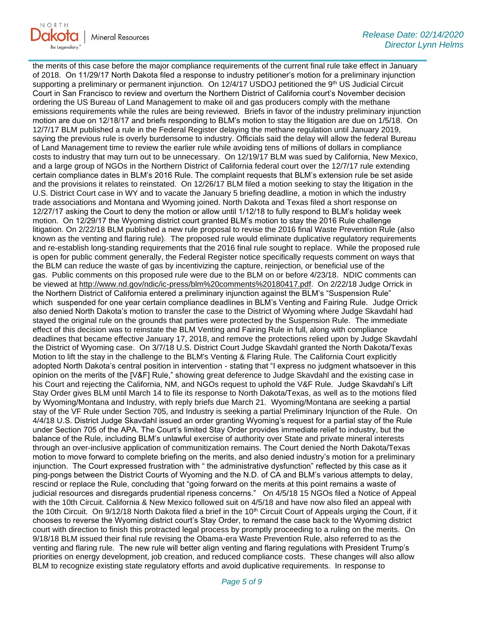

the merits of this case before the major compliance requirements of the current final rule take effect in January of 2018. On 11/29/17 North Dakota filed a response to industry petitioner's motion for a preliminary injunction supporting a preliminary or permanent injunction. On 12/4/17 USDOJ petitioned the 9th US Judicial Circuit Court in San Francisco to review and overturn the Northern District of California court's November decision ordering the US Bureau of Land Management to make oil and gas producers comply with the methane emissions requirements while the rules are being reviewed. Briefs in favor of the industry preliminary injunction motion are due on 12/18/17 and briefs responding to BLM's motion to stay the litigation are due on 1/5/18. On 12/7/17 BLM published a rule in the Federal Register delaying the methane regulation until January 2019, saying the previous rule is overly burdensome to industry. Officials said the delay will allow the federal Bureau of Land Management time to review the earlier rule while avoiding tens of millions of dollars in compliance costs to industry that may turn out to be unnecessary. On 12/19/17 BLM was sued by California, New Mexico, and a large group of NGOs in the Northern District of California federal court over the 12/7/17 rule extending certain compliance dates in BLM's 2016 Rule. The complaint requests that BLM's extension rule be set aside and the provisions it relates to reinstated. On 12/26/17 BLM filed a motion seeking to stay the litigation in the U.S. District Court case in WY and to vacate the January 5 briefing deadline, a motion in which the industry trade associations and Montana and Wyoming joined. North Dakota and Texas filed a short response on 12/27/17 asking the Court to deny the motion or allow until 1/12/18 to fully respond to BLM's holiday week motion. On 12/29/17 the Wyoming district court granted BLM's motion to stay the 2016 Rule challenge litigation. On 2/22/18 BLM published a new rule proposal to revise the 2016 final Waste Prevention Rule (also known as the venting and flaring rule). The proposed rule would eliminate duplicative regulatory requirements and re-establish long-standing requirements that the 2016 final rule sought to replace. While the proposed rule is open for public comment generally, the Federal Register notice specifically requests comment on ways that the BLM can reduce the waste of gas by incentivizing the capture, reinjection, or beneficial use of the gas. Public comments on this proposed rule were due to the BLM on or before 4/23/18. NDIC comments can be viewed at [http://www.nd.gov/ndic/ic-press/blm%20comments%20180417.pdf.](http://www.nd.gov/ndic/ic-press/blm%20comments%20180417.pdf) On 2/22/18 Judge Orrick in the Northern District of California entered a preliminary injunction against the BLM's "Suspension Rule" which suspended for one year certain compliance deadlines in BLM's Venting and Fairing Rule. Judge Orrick also denied North Dakota's motion to transfer the case to the District of Wyoming where Judge Skavdahl had stayed the original rule on the grounds that parties were protected by the Suspension Rule. The immediate effect of this decision was to reinstate the BLM Venting and Fairing Rule in full, along with compliance deadlines that became effective January 17, 2018, and remove the protections relied upon by Judge Skavdahl the District of Wyoming case. On 3/7/18 U.S. District Court Judge Skavdahl granted the North Dakota/Texas Motion to lift the stay in the challenge to the BLM's Venting & Flaring Rule. The California Court explicitly adopted North Dakota's central position in intervention - stating that "I express no judgment whatsoever in this opinion on the merits of the [V&F] Rule," showing great deference to Judge Skavdahl and the existing case in his Court and rejecting the California, NM, and NGOs request to uphold the V&F Rule. Judge Skavdahl's Lift Stay Order gives BLM until March 14 to file its response to North Dakota/Texas, as well as to the motions filed by Wyoming/Montana and Industry, with reply briefs due March 21. Wyoming/Montana are seeking a partial stay of the VF Rule under Section 705, and Industry is seeking a partial Preliminary Injunction of the Rule. On 4/4/18 U.S. District Judge Skavdahl issued an order granting Wyoming's request for a partial stay of the Rule under Section 705 of the APA. The Court's limited Stay Order provides immediate relief to industry, but the balance of the Rule, including BLM's unlawful exercise of authority over State and private mineral interests through an over-inclusive application of communitization remains. The Court denied the North Dakota/Texas motion to move forward to complete briefing on the merits, and also denied industry's motion for a preliminary injunction. The Court expressed frustration with " the administrative dysfunction" reflected by this case as it ping-pongs between the District Courts of Wyoming and the N.D. of CA and BLM's various attempts to delay, rescind or replace the Rule, concluding that "going forward on the merits at this point remains a waste of judicial resources and disregards prudential ripeness concerns." On 4/5/18 15 NGOs filed a Notice of Appeal with the 10th Circuit. California & New Mexico followed suit on 4/5/18 and have now also filed an appeal with the 10th Circuit. On  $9/12/18$  North Dakota filed a brief in the 10<sup>th</sup> Circuit Court of Appeals urging the Court, if it chooses to reverse the Wyoming district court's Stay Order, to remand the case back to the Wyoming district court with direction to finish this protracted legal process by promptly proceeding to a ruling on the merits. On 9/18/18 BLM issued their final rule revising the Obama-era Waste Prevention Rule, also referred to as the venting and flaring rule. The new rule will better align venting and flaring regulations with President Trump's priorities on energy development, job creation, and reduced compliance costs. These changes will also allow BLM to recognize existing state regulatory efforts and avoid duplicative requirements. In response to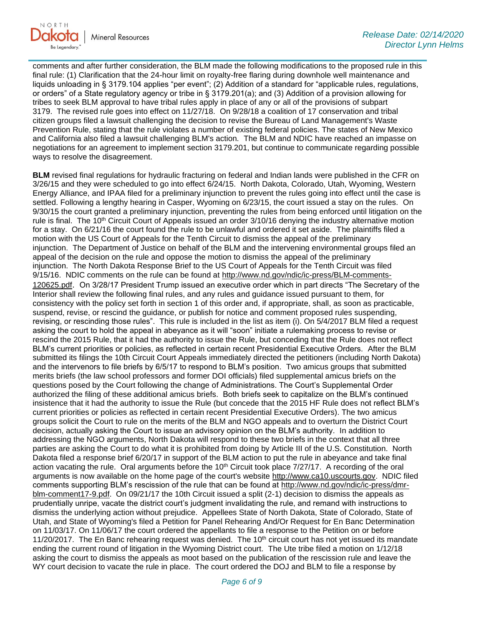

comments and after further consideration, the BLM made the following modifications to the proposed rule in this final rule: (1) Clarification that the 24-hour limit on royalty-free flaring during downhole well maintenance and liquids unloading in § 3179.104 applies "per event"; (2) Addition of a standard for "applicable rules, regulations, or orders" of a State regulatory agency or tribe in § 3179.201(a); and (3) Addition of a provision allowing for tribes to seek BLM approval to have tribal rules apply in place of any or all of the provisions of subpart 3179. The revised rule goes into effect on 11/27/18. On 9/28/18 a coalition of 17 conservation and tribal citizen groups filed a lawsuit challenging the decision to revise the Bureau of Land Management's Waste Prevention Rule, stating that the rule violates a number of existing federal policies. The states of New Mexico and California also filed a lawsuit challenging BLM's action. The BLM and NDIC have reached an impasse on negotiations for an agreement to implement section 3179.201, but continue to communicate regarding possible ways to resolve the disagreement.

**BLM** revised final regulations for hydraulic fracturing on federal and Indian lands were published in the CFR on 3/26/15 and they were scheduled to go into effect 6/24/15. North Dakota, Colorado, Utah, Wyoming, Western Energy Alliance, and IPAA filed for a preliminary injunction to prevent the rules going into effect until the case is settled. Following a lengthy hearing in Casper, Wyoming on 6/23/15, the court issued a stay on the rules. On 9/30/15 the court granted a preliminary injunction, preventing the rules from being enforced until litigation on the rule is final. The 10<sup>th</sup> Circuit Court of Appeals issued an order 3/10/16 denying the industry alternative motion for a stay. On 6/21/16 the court found the rule to be unlawful and ordered it set aside. The plaintiffs filed a motion with the US Court of Appeals for the Tenth Circuit to dismiss the appeal of the preliminary injunction. The Department of Justice on behalf of the BLM and the intervening environmental groups filed an appeal of the decision on the rule and oppose the motion to dismiss the appeal of the preliminary injunction. The North Dakota Response Brief to the US Court of Appeals for the Tenth Circuit was filed 9/15/16. NDIC comments on the rule can be found at [http://www.nd.gov/ndic/ic-press/BLM-comments-](http://www.nd.gov/ndic/ic-press/BLM-comments-120625.pdf)[120625.pdf](http://www.nd.gov/ndic/ic-press/BLM-comments-120625.pdf). On 3/28/17 President Trump issued an executive order which in part directs "The Secretary of the Interior shall review the following final rules, and any rules and guidance issued pursuant to them, for consistency with the policy set forth in section 1 of this order and, if appropriate, shall, as soon as practicable, suspend, revise, or rescind the guidance, or publish for notice and comment proposed rules suspending, revising, or rescinding those rules". This rule is included in the list as item (i). On 5/4/2017 BLM filed a request asking the court to hold the appeal in abeyance as it will "soon" initiate a rulemaking process to revise or rescind the 2015 Rule, that it had the authority to issue the Rule, but conceding that the Rule does not reflect BLM's current priorities or policies, as reflected in certain recent Presidential Executive Orders. After the BLM submitted its filings the 10th Circuit Court Appeals immediately directed the petitioners (including North Dakota) and the intervenors to file briefs by 6/5/17 to respond to BLM's position. Two amicus groups that submitted merits briefs (the law school professors and former DOI officials) filed supplemental amicus briefs on the questions posed by the Court following the change of Administrations. The Court's Supplemental Order authorized the filing of these additional amicus briefs. Both briefs seek to capitalize on the BLM's continued insistence that it had the authority to issue the Rule (but concede that the 2015 HF Rule does not reflect BLM's current priorities or policies as reflected in certain recent Presidential Executive Orders). The two amicus groups solicit the Court to rule on the merits of the BLM and NGO appeals and to overturn the District Court decision, actually asking the Court to issue an advisory opinion on the BLM's authority. In addition to addressing the NGO arguments, North Dakota will respond to these two briefs in the context that all three parties are asking the Court to do what it is prohibited from doing by Article III of the U.S. Constitution. North Dakota filed a response brief 6/20/17 in support of the BLM action to put the rule in abeyance and take final action vacating the rule. Oral arguments before the  $10<sup>th</sup>$  Circuit took place  $7/27/17$ . A recording of the oral arguments is now available on the home page of the court's website [http://www.ca10.uscourts.gov.](https://urldefense.proofpoint.com/v2/url?u=http-3A__www.ca10.uscourts.gov&d=DwMGaQ&c=2s2mvbfY0UoSKkl6_Ol9wg&r=-wqsZnBxny594KY8HeElow&m=Ul_VtJUX6iW5pvHjCcBxUWtskC0F4Dhry3sPtcEHvCw&s=laRHiLDv5w8otcQWQjpn82WMieoB2AZ-Q4M1LFQPL5s&e=) NDIC filed comments supporting BLM's rescission of the rule that can be found at [http://www.nd.gov/ndic/ic-press/dmr](http://www.nd.gov/ndic/ic-press/dmr-blm-comment17-9.pdf)[blm-comment17-9.pdf.](http://www.nd.gov/ndic/ic-press/dmr-blm-comment17-9.pdf) On 09/21/17 the 10th Circuit issued a split (2-1) decision to dismiss the appeals as prudentially unripe, vacate the district court's judgment invalidating the rule, and remand with instructions to dismiss the underlying action without prejudice. Appellees State of North Dakota, State of Colorado, State of Utah, and State of Wyoming's filed a Petition for Panel Rehearing And/Or Request for En Banc Determination on 11/03/17. On 11/06/17 the court ordered the appellants to file a response to the Petition on or before 11/20/2017. The En Banc rehearing request was denied. The  $10<sup>th</sup>$  circuit court has not yet issued its mandate ending the current round of litigation in the Wyoming District court. The Ute tribe filed a motion on 1/12/18 asking the court to dismiss the appeals as moot based on the publication of the rescission rule and leave the WY court decision to vacate the rule in place. The court ordered the DOJ and BLM to file a response by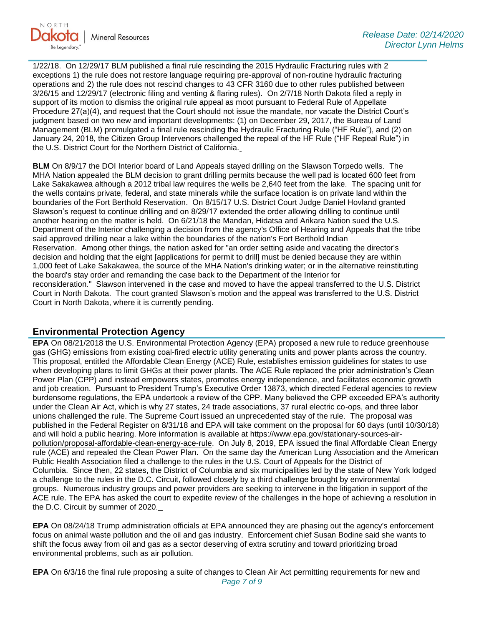

1/22/18. On 12/29/17 BLM published a final rule rescinding the 2015 Hydraulic Fracturing rules with 2 exceptions 1) the rule does not restore language requiring pre-approval of non-routine hydraulic fracturing operations and 2) the rule does not rescind changes to 43 CFR 3160 due to other rules published between 3/26/15 and 12/29/17 (electronic filing and venting & flaring rules). On 2/7/18 North Dakota filed a reply in support of its motion to dismiss the original rule appeal as moot pursuant to Federal Rule of Appellate Procedure 27(a)(4), and request that the Court should not issue the mandate, nor vacate the District Court's judgment based on two new and important developments: (1) on December 29, 2017, the Bureau of Land Management (BLM) promulgated a final rule rescinding the Hydraulic Fracturing Rule ("HF Rule"), and (2) on January 24, 2018, the Citizen Group Intervenors challenged the repeal of the HF Rule ("HF Repeal Rule") in the U.S. District Court for the Northern District of California.

**BLM** On 8/9/17 the DOI Interior board of Land Appeals stayed drilling on the Slawson Torpedo wells. The MHA Nation appealed the BLM decision to grant drilling permits because the well pad is located 600 feet from Lake Sakakawea although a 2012 tribal law requires the wells be 2,640 feet from the lake. The spacing unit for the wells contains private, federal, and state minerals while the surface location is on private land within the boundaries of the Fort Berthold Reservation. On 8/15/17 U.S. District Court Judge Daniel Hovland granted Slawson's request to continue drilling and on 8/29/17 extended the order allowing drilling to continue until another hearing on the matter is held. On 6/21/18 the Mandan, Hidatsa and Arikara Nation sued the U.S. Department of the Interior challenging a decision from the agency's Office of Hearing and Appeals that the tribe said approved drilling near a lake within the boundaries of the nation's Fort Berthold Indian Reservation. Among other things, the nation asked for "an order setting aside and vacating the director's decision and holding that the eight [applications for permit to drill] must be denied because they are within 1,000 feet of Lake Sakakawea, the source of the MHA Nation's drinking water; or in the alternative reinstituting the board's stay order and remanding the case back to the Department of the Interior for reconsideration." Slawson intervened in the case and moved to have the appeal transferred to the U.S. District Court in North Dakota. The court granted Slawson's motion and the appeal was transferred to the U.S. District Court in North Dakota, where it is currently pending.

### **Environmental Protection Agency**

**EPA** On 08/21/2018 the U.S. Environmental Protection Agency (EPA) proposed a new rule to reduce greenhouse gas (GHG) emissions from existing coal-fired electric utility generating units and power plants across the country. This proposal, entitled the Affordable Clean Energy (ACE) Rule, establishes emission guidelines for states to use when developing plans to limit GHGs at their power plants. The ACE Rule replaced the prior administration's Clean Power Plan (CPP) and instead empowers states, promotes energy independence, and facilitates economic growth and job creation. Pursuant to President Trump's Executive Order 13873, which directed Federal agencies to review burdensome regulations, the EPA undertook a review of the CPP. Many believed the CPP exceeded EPA's authority under the Clean Air Act, which is why 27 states, 24 trade associations, 37 rural electric co-ops, and three labor unions challenged the rule. The Supreme Court issued an unprecedented stay of the rule. The proposal was published in the Federal Register on 8/31/18 and EPA will take comment on the proposal for 60 days (until 10/30/18) and will hold a public hearing. More information is available at [https://www.epa.gov/stationary-sources-air](https://www.epa.gov/stationary-sources-air-pollution/proposal-affordable-clean-energy-ace-rule)[pollution/proposal-affordable-clean-energy-ace-rule.](https://www.epa.gov/stationary-sources-air-pollution/proposal-affordable-clean-energy-ace-rule) On July 8, 2019, EPA issued the final Affordable Clean Energy rule (ACE) and repealed the Clean Power Plan. On the same day the American Lung Association and the American Public Health Association filed a challenge to the rules in the U.S. Court of Appeals for the District of Columbia. Since then, 22 states, the District of Columbia and six municipalities led by the state of New York lodged a challenge to the rules in the D.C. Circuit, followed closely by a third challenge brought by environmental groups. Numerous industry groups and power providers are seeking to intervene in the litigation in support of the ACE rule. The EPA has asked the court to expedite review of the challenges in the hope of achieving a resolution in the D.C. Circuit by summer of 2020.

**EPA** On 08/24/18 Trump administration officials at EPA announced they are phasing out the agency's enforcement focus on animal waste pollution and the oil and gas industry. Enforcement chief Susan Bodine said she wants to shift the focus away from oil and gas as a sector deserving of extra scrutiny and toward prioritizing broad environmental problems, such as air pollution.

*Page 7 of 9* **EPA** On 6/3/16 the final rule proposing a suite of changes to Clean Air Act permitting requirements for new and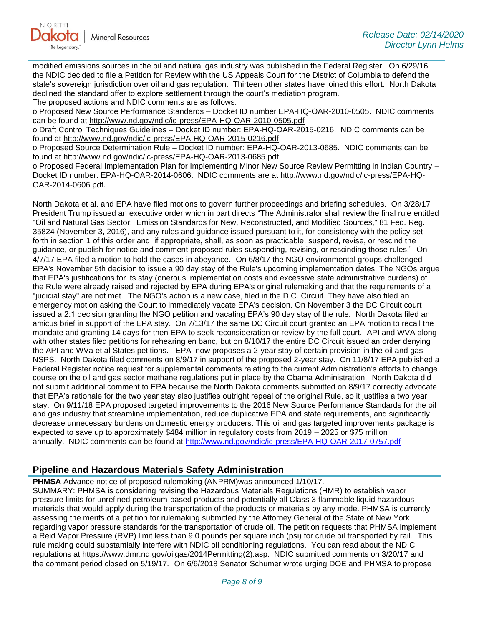

modified emissions sources in the oil and natural gas industry was published in the Federal Register. On 6/29/16 the NDIC decided to file a Petition for Review with the US Appeals Court for the District of Columbia to defend the state's sovereign jurisdiction over oil and gas regulation. Thirteen other states have joined this effort. North Dakota declined the standard offer to explore settlement through the court's mediation program.

The proposed actions and NDIC comments are as follows:

o Proposed New Source Performance Standards – Docket ID number EPA-HQ-OAR-2010-0505. NDIC comments can be found at<http://www.nd.gov/ndic/ic-press/EPA-HQ-OAR-2010-0505.pdf>

o Draft Control Techniques Guidelines – Docket ID number: EPA-HQ-OAR-2015-0216. NDIC comments can be found at<http://www.nd.gov/ndic/ic-press/EPA-HQ-OAR-2015-0216.pdf>

o Proposed Source Determination Rule – Docket ID number: EPA-HQ-OAR-2013-0685. NDIC comments can be found at<http://www.nd.gov/ndic/ic-press/EPA-HQ-OAR-2013-0685.pdf>

o Proposed Federal Implementation Plan for Implementing Minor New Source Review Permitting in Indian Country – Docket ID number: EPA-HQ-OAR-2014-0606. NDIC comments are at [http://www.nd.gov/ndic/ic-press/EPA-HQ-](http://www.nd.gov/ndic/ic-press/EPA-HQ-OAR-2014-0606.pdf)[OAR-2014-0606.pdf](http://www.nd.gov/ndic/ic-press/EPA-HQ-OAR-2014-0606.pdf).

North Dakota et al. and EPA have filed motions to govern further proceedings and briefing schedules. On 3/28/17 President Trump issued an executive order which in part directs "The Administrator shall review the final rule entitled "Oil and Natural Gas Sector: Emission Standards for New, Reconstructed, and Modified Sources," 81 Fed. Reg. 35824 (November 3, 2016), and any rules and guidance issued pursuant to it, for consistency with the policy set forth in section 1 of this order and, if appropriate, shall, as soon as practicable, suspend, revise, or rescind the guidance, or publish for notice and comment proposed rules suspending, revising, or rescinding those rules." On 4/7/17 EPA filed a motion to hold the cases in abeyance. On 6/8/17 the NGO environmental groups challenged EPA's November 5th decision to issue a 90 day stay of the Rule's upcoming implementation dates. The NGOs argue that EPA's justifications for its stay (onerous implementation costs and excessive state administrative burdens) of the Rule were already raised and rejected by EPA during EPA's original rulemaking and that the requirements of a "judicial stay" are not met. The NGO's action is a new case, filed in the D.C. Circuit. They have also filed an emergency motion asking the Court to immediately vacate EPA's decision. On November 3 the DC Circuit court issued a 2:1 decision granting the NGO petition and vacating EPA's 90 day stay of the rule. North Dakota filed an amicus brief in support of the EPA stay. On 7/13/17 the same DC Circuit court granted an EPA motion to recall the mandate and granting 14 days for then EPA to seek reconsideration or review by the full court. API and WVA along with other states filed petitions for rehearing en banc, but on 8/10/17 the entire DC Circuit issued an order denying the API and WVa et al States petitions. EPA now proposes a 2-year stay of certain provision in the oil and gas NSPS. North Dakota filed comments on 8/9/17 in support of the proposed 2-year stay. On 11/8/17 EPA published a Federal Register notice request for supplemental comments relating to the current Administration's efforts to change course on the oil and gas sector methane regulations put in place by the Obama Administration. North Dakota did not submit additional comment to EPA because the North Dakota comments submitted on 8/9/17 correctly advocate that EPA's rationale for the two year stay also justifies outright repeal of the original Rule, so it justifies a two year stay. On 9/11/18 EPA proposed targeted improvements to the 2016 New Source Performance Standards for the oil and gas industry that streamline implementation, reduce duplicative EPA and state requirements, and significantly decrease unnecessary burdens on domestic energy producers. This oil and gas targeted improvements package is expected to save up to approximately \$484 million in regulatory costs from 2019 – 2025 or \$75 million annually. NDIC comments can be found at<http://www.nd.gov/ndic/ic-press/EPA-HQ-OAR-2017-0757.pdf>

### **Pipeline and Hazardous Materials Safety Administration**

**PHMSA** Advance notice of proposed rulemaking (ANPRM)was announced 1/10/17.

SUMMARY: PHMSA is considering revising the Hazardous Materials Regulations (HMR) to establish vapor pressure limits for unrefined petroleum-based products and potentially all Class 3 flammable liquid hazardous materials that would apply during the transportation of the products or materials by any mode. PHMSA is currently assessing the merits of a petition for rulemaking submitted by the Attorney General of the State of New York regarding vapor pressure standards for the transportation of crude oil. The petition requests that PHMSA implement a Reid Vapor Pressure (RVP) limit less than 9.0 pounds per square inch (psi) for crude oil transported by rail. This rule making could substantially interfere with NDIC oil conditioning regulations. You can read about the NDIC regulations at [https://www.dmr.nd.gov/oilgas/2014Permitting\(2\).asp.](https://www.dmr.nd.gov/oilgas/2014Permitting(2).asp) NDIC submitted comments on 3/20/17 and the comment period closed on 5/19/17. On 6/6/2018 Senator Schumer wrote urging DOE and PHMSA to propose